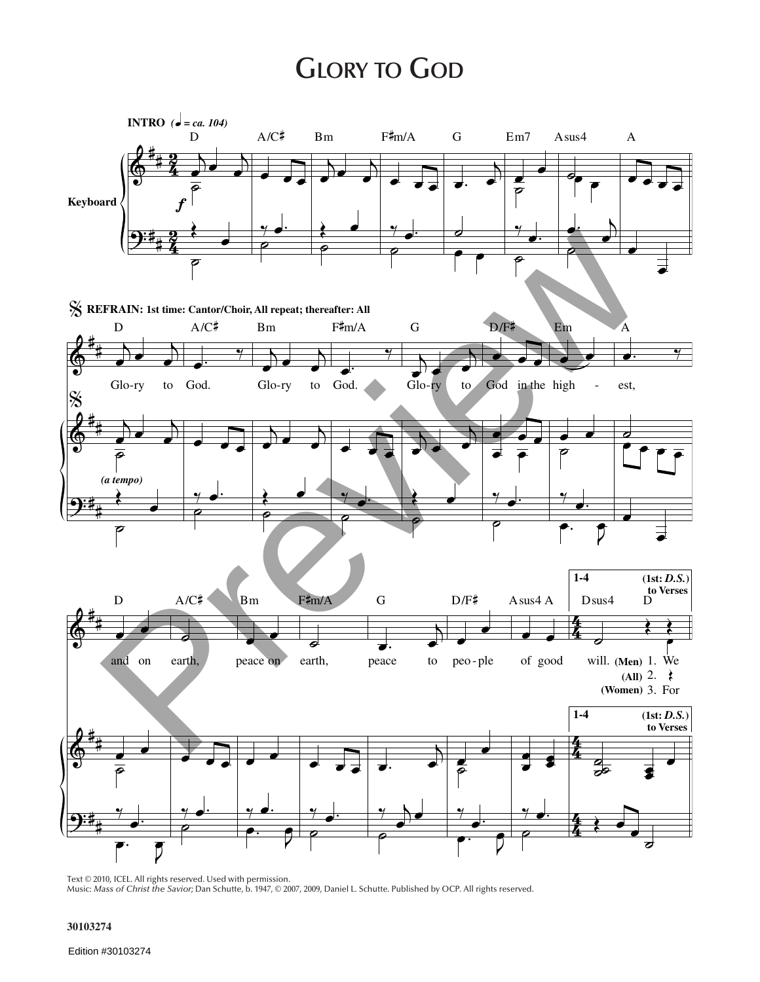## **GLORY TO GOD**



Text © 2010, ICEL. All rights reserved. Used with permission. Music: *Mass of Christ the Savior;* Dan Schutte, b. 1947, © 2007, 2009, Daniel L. Schutte. Published by OCP. All rights reserved.

**30103274**

Edition #30103274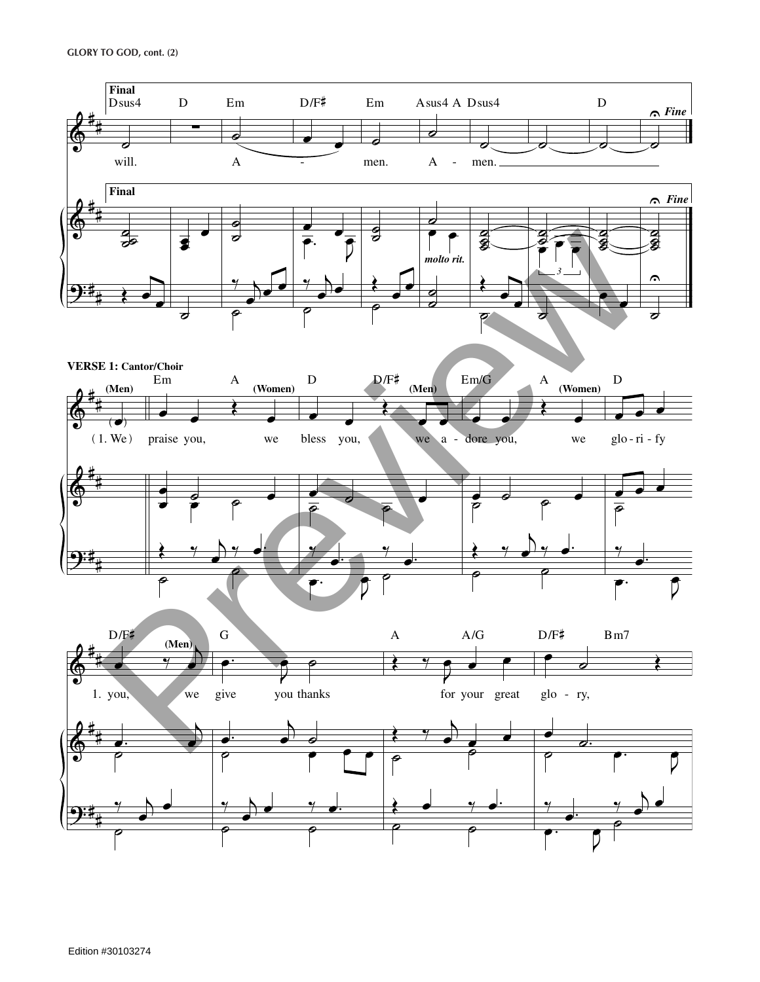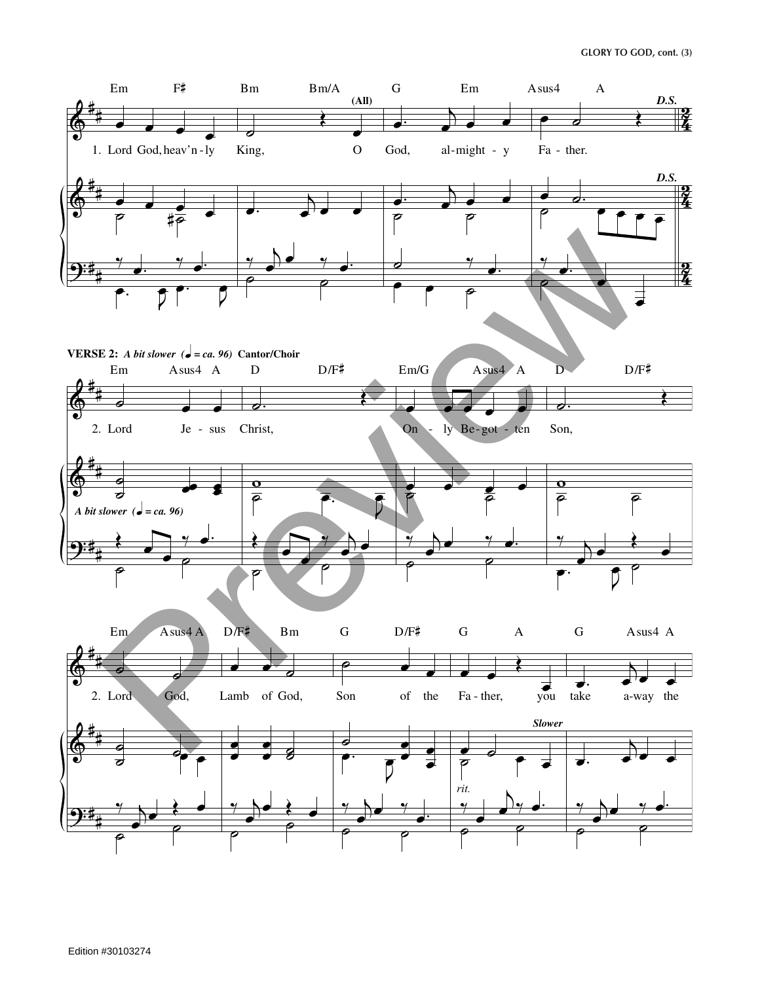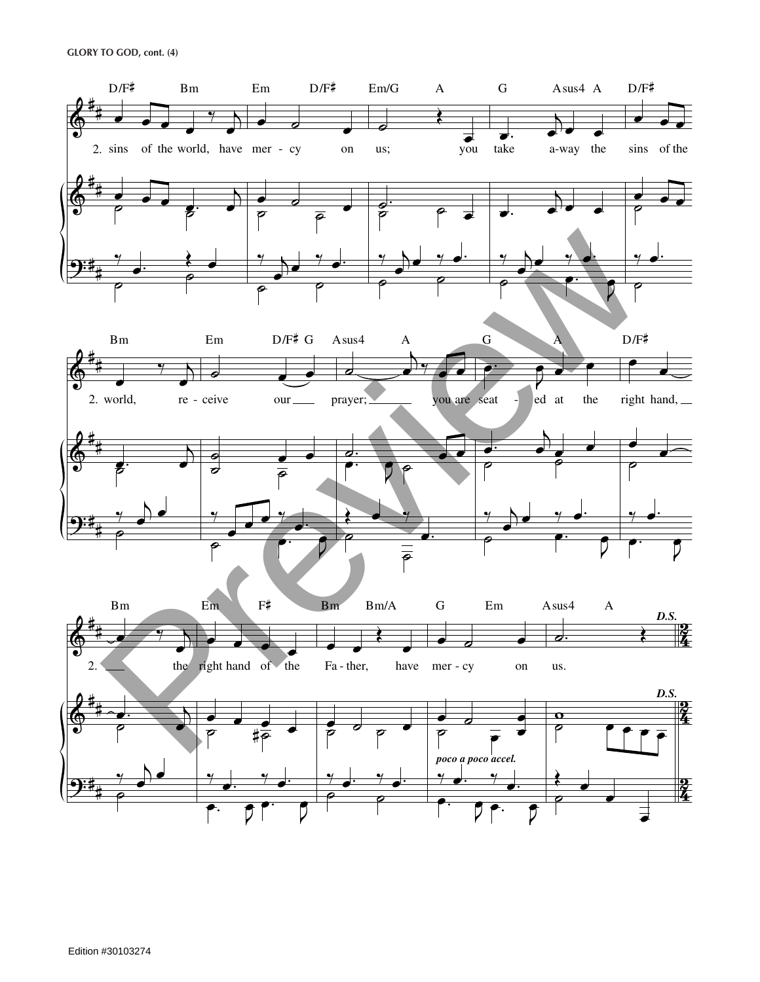